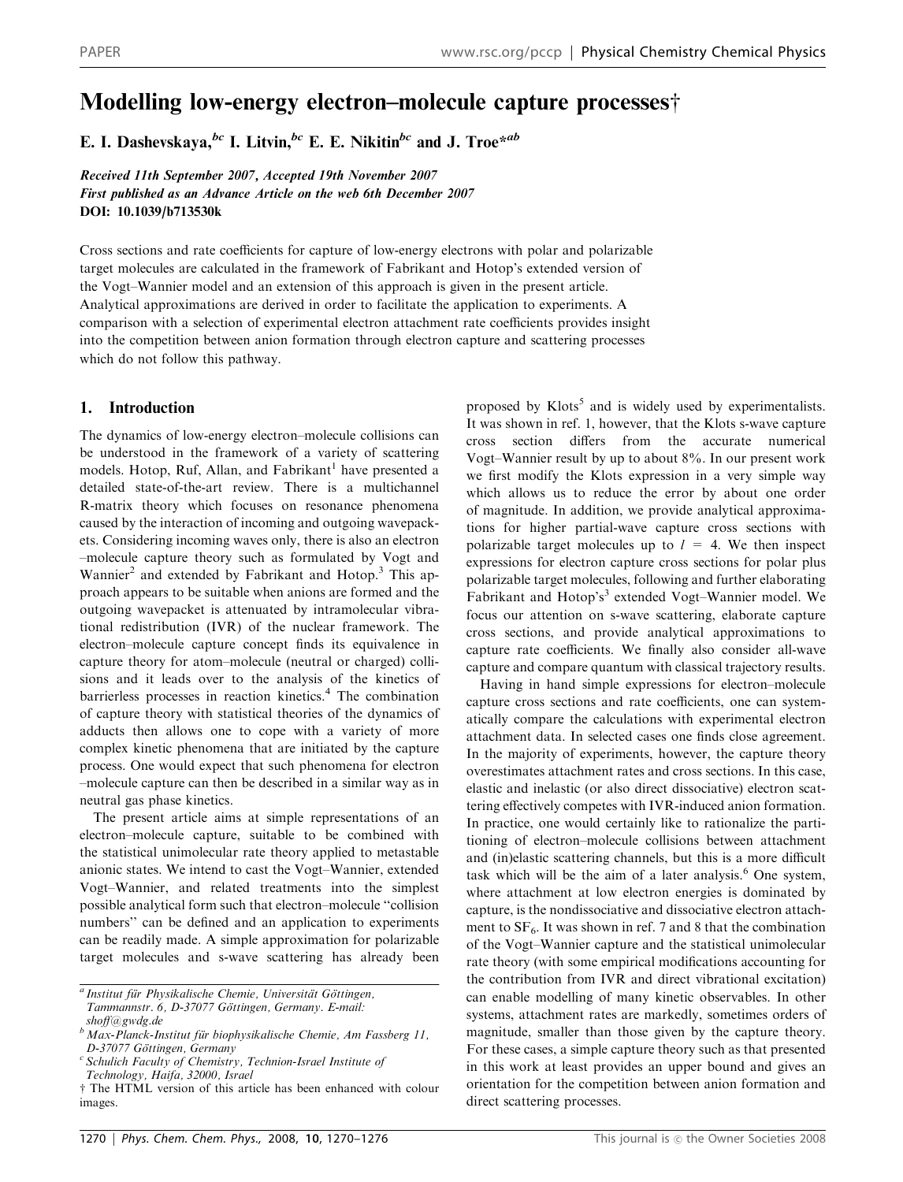# Modelling low-energy electron–molecule capture processes $\dagger$

E. I. Dashevskaya, <sup>bc</sup> I. Litvin, <sup>bc</sup> E. E. Nikitin<sup>bc</sup> and J. Troe<sup>\*ab</sup>

Received 11th September 2007, Accepted 19th November 2007 First published as an Advance Article on the web 6th December 2007 DOI: 10.1039/b713530k

Cross sections and rate coefficients for capture of low-energy electrons with polar and polarizable target molecules are calculated in the framework of Fabrikant and Hotop's extended version of the Vogt–Wannier model and an extension of this approach is given in the present article. Analytical approximations are derived in order to facilitate the application to experiments. A comparison with a selection of experimental electron attachment rate coefficients provides insight into the competition between anion formation through electron capture and scattering processes which do not follow this pathway.

# 1. Introduction

The dynamics of low-energy electron–molecule collisions can be understood in the framework of a variety of scattering models. Hotop, Ruf, Allan, and Fabrikant<sup>1</sup> have presented a detailed state-of-the-art review. There is a multichannel R-matrix theory which focuses on resonance phenomena caused by the interaction of incoming and outgoing wavepackets. Considering incoming waves only, there is also an electron –molecule capture theory such as formulated by Vogt and Wannier<sup>2</sup> and extended by Fabrikant and Hotop.<sup>3</sup> This approach appears to be suitable when anions are formed and the outgoing wavepacket is attenuated by intramolecular vibrational redistribution (IVR) of the nuclear framework. The electron–molecule capture concept finds its equivalence in capture theory for atom–molecule (neutral or charged) collisions and it leads over to the analysis of the kinetics of barrierless processes in reaction kinetics.<sup>4</sup> The combination of capture theory with statistical theories of the dynamics of adducts then allows one to cope with a variety of more complex kinetic phenomena that are initiated by the capture process. One would expect that such phenomena for electron –molecule capture can then be described in a similar way as in neutral gas phase kinetics.

The present article aims at simple representations of an electron–molecule capture, suitable to be combined with the statistical unimolecular rate theory applied to metastable anionic states. We intend to cast the Vogt–Wannier, extended Vogt–Wannier, and related treatments into the simplest possible analytical form such that electron–molecule ''collision numbers'' can be defined and an application to experiments can be readily made. A simple approximation for polarizable target molecules and s-wave scattering has already been proposed by Klots<sup>5</sup> and is widely used by experimentalists. It was shown in ref. 1, however, that the Klots s-wave capture cross section differs from the accurate numerical Vogt–Wannier result by up to about 8%. In our present work we first modify the Klots expression in a very simple way which allows us to reduce the error by about one order of magnitude. In addition, we provide analytical approximations for higher partial-wave capture cross sections with polarizable target molecules up to  $l = 4$ . We then inspect expressions for electron capture cross sections for polar plus polarizable target molecules, following and further elaborating Fabrikant and Hotop's<sup>3</sup> extended Vogt–Wannier model. We focus our attention on s-wave scattering, elaborate capture cross sections, and provide analytical approximations to capture rate coefficients. We finally also consider all-wave capture and compare quantum with classical trajectory results.

Having in hand simple expressions for electron–molecule capture cross sections and rate coefficients, one can systematically compare the calculations with experimental electron attachment data. In selected cases one finds close agreement. In the majority of experiments, however, the capture theory overestimates attachment rates and cross sections. In this case, elastic and inelastic (or also direct dissociative) electron scattering effectively competes with IVR-induced anion formation. In practice, one would certainly like to rationalize the partitioning of electron–molecule collisions between attachment and (in)elastic scattering channels, but this is a more difficult task which will be the aim of a later analysis.<sup>6</sup> One system, where attachment at low electron energies is dominated by capture, is the nondissociative and dissociative electron attachment to  $SF_6$ . It was shown in ref. 7 and 8 that the combination of the Vogt–Wannier capture and the statistical unimolecular rate theory (with some empirical modifications accounting for the contribution from IVR and direct vibrational excitation) can enable modelling of many kinetic observables. In other systems, attachment rates are markedly, sometimes orders of magnitude, smaller than those given by the capture theory. For these cases, a simple capture theory such as that presented in this work at least provides an upper bound and gives an orientation for the competition between anion formation and direct scattering processes.

<sup>&</sup>lt;sup>a</sup> Institut für Physikalische Chemie, Universität Göttingen, Tammannstr. 6, D-37077 Göttingen, Germany. E-mail:

shoff@gwdg.de

 $^{b}$  Max-Planck-Institut für biophysikalische Chemie, Am Fassberg 11, D-37077 Göttingen, Germany

 $c$  Schulich Faculty of Chemistry, Technion-Israel Institute of

Technology, Haifa, 32000, Israel

<sup>†</sup> The HTML version of this article has been enhanced with colour images.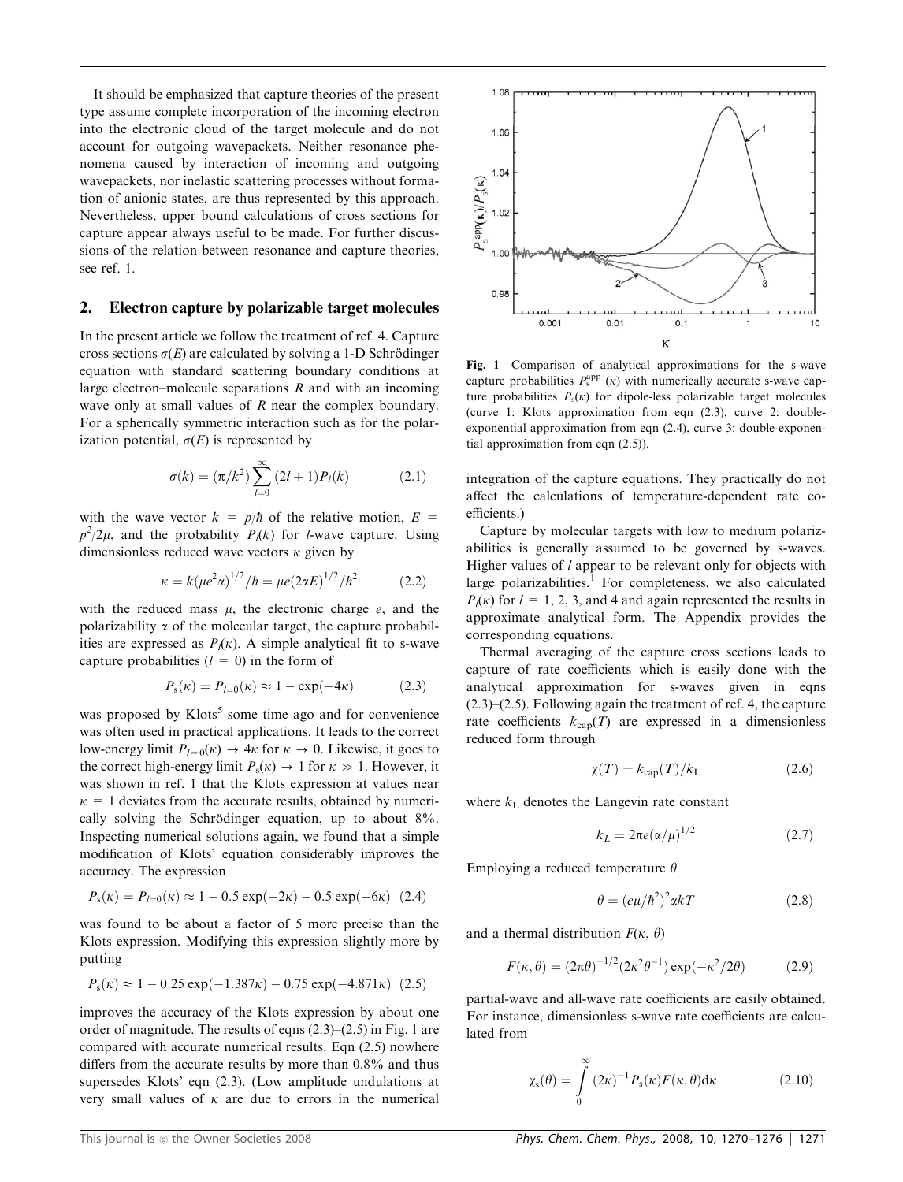It should be emphasized that capture theories of the present type assume complete incorporation of the incoming electron into the electronic cloud of the target molecule and do not account for outgoing wavepackets. Neither resonance phenomena caused by interaction of incoming and outgoing wavepackets, nor inelastic scattering processes without formation of anionic states, are thus represented by this approach. Nevertheless, upper bound calculations of cross sections for capture appear always useful to be made. For further discussions of the relation between resonance and capture theories, see ref. 1.

#### 2. Electron capture by polarizable target molecules

In the present article we follow the treatment of ref. 4. Capture cross sections  $\sigma(E)$  are calculated by solving a 1-D Schrödinger equation with standard scattering boundary conditions at large electron–molecule separations  $R$  and with an incoming wave only at small values of R near the complex boundary. For a spherically symmetric interaction such as for the polarization potential,  $\sigma(E)$  is represented by

$$
\sigma(k) = (\pi/k^2) \sum_{l=0}^{\infty} (2l+1) P_l(k)
$$
 (2.1)

with the wave vector  $k = p/\hbar$  of the relative motion,  $E =$  $p^2/2\mu$ , and the probability  $P_1(k)$  for *l*-wave capture. Using dimensionless reduced wave vectors  $\kappa$  given by

$$
\kappa = k(\mu e^2 \alpha)^{1/2} / \hbar = \mu e (2 \alpha E)^{1/2} / \hbar^2 \tag{2.2}
$$

with the reduced mass  $\mu$ , the electronic charge  $e$ , and the polarizability  $\alpha$  of the molecular target, the capture probabilities are expressed as  $P_l(\kappa)$ . A simple analytical fit to s-wave capture probabilities  $(l = 0)$  in the form of

$$
P_{\rm s}(\kappa) = P_{l=0}(\kappa) \approx 1 - \exp(-4\kappa) \tag{2.3}
$$

was proposed by  $K$ lots<sup>5</sup> some time ago and for convenience was often used in practical applications. It leads to the correct low-energy limit  $P_{l=0}(\kappa) \rightarrow 4\kappa$  for  $\kappa \rightarrow 0$ . Likewise, it goes to the correct high-energy limit  $P_s(\kappa) \rightarrow 1$  for  $\kappa \gg 1$ . However, it was shown in ref. 1 that the Klots expression at values near  $k = 1$  deviates from the accurate results, obtained by numerically solving the Schrödinger equation, up to about  $8\%$ . Inspecting numerical solutions again, we found that a simple modification of Klots' equation considerably improves the accuracy. The expression

$$
P_{\rm s}(\kappa) = P_{l=0}(\kappa) \approx 1 - 0.5 \exp(-2\kappa) - 0.5 \exp(-6\kappa) \tag{2.4}
$$

was found to be about a factor of 5 more precise than the Klots expression. Modifying this expression slightly more by putting

$$
P_{\rm s}(\kappa) \approx 1 - 0.25 \exp(-1.387 \kappa) - 0.75 \exp(-4.871 \kappa) \tag{2.5}
$$

improves the accuracy of the Klots expression by about one order of magnitude. The results of eqns (2.3)–(2.5) in Fig. 1 are compared with accurate numerical results. Eqn (2.5) nowhere differs from the accurate results by more than 0.8% and thus supersedes Klots' eqn (2.3). (Low amplitude undulations at very small values of  $\kappa$  are due to errors in the numerical



Fig. 1 Comparison of analytical approximations for the s-wave capture probabilities  $P_s^{\text{app}}(\kappa)$  with numerically accurate s-wave capture probabilities  $P_s(\kappa)$  for dipole-less polarizable target molecules (curve 1: Klots approximation from eqn (2.3), curve 2: doubleexponential approximation from eqn (2.4), curve 3: double-exponential approximation from eqn (2.5)).

integration of the capture equations. They practically do not affect the calculations of temperature-dependent rate coefficients.)

Capture by molecular targets with low to medium polarizabilities is generally assumed to be governed by s-waves. Higher values of  $l$  appear to be relevant only for objects with large polarizabilities.<sup>1</sup> For completeness, we also calculated  $P_l(\kappa)$  for  $l = 1, 2, 3$ , and 4 and again represented the results in approximate analytical form. The Appendix provides the corresponding equations.

Thermal averaging of the capture cross sections leads to capture of rate coefficients which is easily done with the analytical approximation for s-waves given in eqns (2.3)–(2.5). Following again the treatment of ref. 4, the capture rate coefficients  $k_{cap}(T)$  are expressed in a dimensionless reduced form through

$$
\chi(T) = k_{\text{cap}}(T)/k_{\text{L}} \tag{2.6}
$$

where  $k<sub>L</sub>$  denotes the Langevin rate constant

$$
k_L = 2\pi e \left(\frac{\alpha}{\mu}\right)^{1/2} \tag{2.7}
$$

Employing a reduced temperature  $\theta$ 

$$
\theta = (e\mu/\hbar^2)^2 \alpha kT \tag{2.8}
$$

and a thermal distribution  $F(\kappa, \theta)$ 

$$
F(\kappa, \theta) = (2\pi\theta)^{-1/2} (2\kappa^2 \theta^{-1}) \exp(-\kappa^2/2\theta)
$$
 (2.9)

partial-wave and all-wave rate coefficients are easily obtained. For instance, dimensionless s-wave rate coefficients are calculated from

$$
\chi_{\rm s}(\theta) = \int\limits_0^\infty \left(2\kappa\right)^{-1} P_{\rm s}(\kappa) F(\kappa, \theta) \mathrm{d}\kappa \tag{2.10}
$$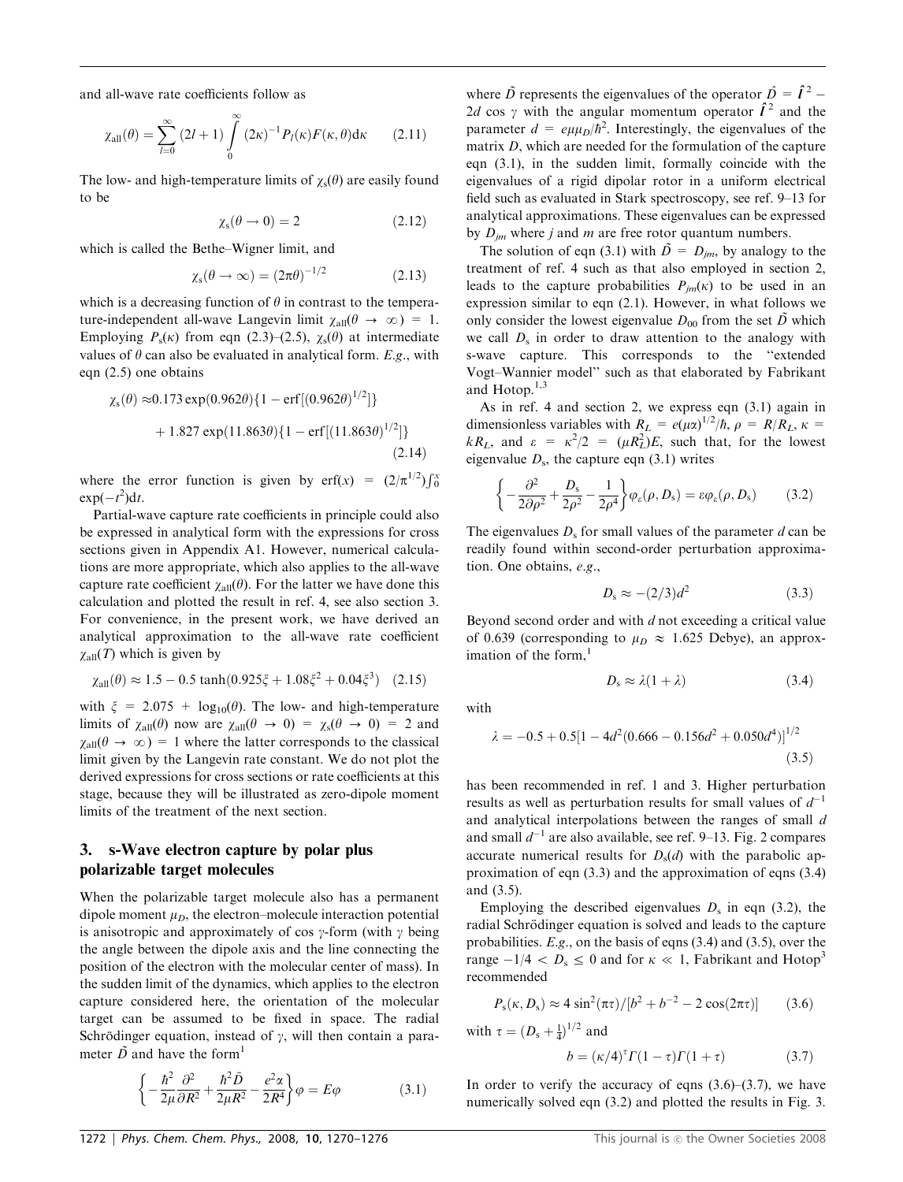and all-wave rate coefficients follow as

$$
\chi_{\text{all}}(\theta) = \sum_{l=0}^{\infty} (2l+1) \int_{0}^{\infty} (2\kappa)^{-1} P_l(\kappa) F(\kappa, \theta) d\kappa \qquad (2.11)
$$

The low- and high-temperature limits of  $\gamma_s(\theta)$  are easily found to be

$$
\chi_{\rm s}(\theta \to 0) = 2 \tag{2.12}
$$

 $1/2$ 

which is called the Bethe–Wigner limit, and

$$
\chi_{\rm s}(\theta \to \infty) = (2\pi\theta)^{-1/2} \tag{2.13}
$$

which is a decreasing function of  $\theta$  in contrast to the temperature-independent all-wave Langevin limit  $\chi_{all}(\theta \to \infty) = 1$ . Employing  $P_s(\kappa)$  from eqn (2.3)–(2.5),  $\chi_s(\theta)$  at intermediate values of  $\theta$  can also be evaluated in analytical form. E.g., with eqn  $(2.5)$  one obtains

$$
\chi_{\rm s}(\theta) \approx 0.173 \exp(0.962\theta) \{1 - \text{erf}[(0.962\theta)^{1/2}]\}
$$
  
+ 1.827 \exp(11.863\theta) \{1 - \text{erf}[(11.863\theta)^{1/2}]\} (2.14)

where the error function is given by  $\text{erf}(x) = (2/\pi^{1/2}) \int_0^x$  $\exp(-t^2)dt$ .

Partial-wave capture rate coefficients in principle could also be expressed in analytical form with the expressions for cross sections given in Appendix A1. However, numerical calculations are more appropriate, which also applies to the all-wave capture rate coefficient  $\chi_{all}(\theta)$ . For the latter we have done this calculation and plotted the result in ref. 4, see also section 3. For convenience, in the present work, we have derived an analytical approximation to the all-wave rate coefficient  $\chi_{\text{all}}(T)$  which is given by

$$
\chi_{\text{all}}(\theta) \approx 1.5 - 0.5 \tanh(0.925\xi + 1.08\xi^2 + 0.04\xi^3) \quad (2.15)
$$

with  $\xi = 2.075 + \log_{10}(\theta)$ . The low- and high-temperature limits of  $\chi_{all}(\theta)$  now are  $\chi_{all}(\theta \to 0) = \chi_{s}(\theta \to 0) = 2$  and  $\chi_{\text{all}}(\theta \to \infty) = 1$  where the latter corresponds to the classical limit given by the Langevin rate constant. We do not plot the derived expressions for cross sections or rate coefficients at this stage, because they will be illustrated as zero-dipole moment limits of the treatment of the next section.

## 3. s-Wave electron capture by polar plus polarizable target molecules

When the polarizable target molecule also has a permanent dipole moment  $\mu_D$ , the electron–molecule interaction potential is anisotropic and approximately of cos  $\gamma$ -form (with  $\gamma$  being the angle between the dipole axis and the line connecting the position of the electron with the molecular center of mass). In the sudden limit of the dynamics, which applies to the electron capture considered here, the orientation of the molecular target can be assumed to be fixed in space. The radial Schrödinger equation, instead of  $\gamma$ , will then contain a parameter  $\tilde{D}$  and have the form<sup>1</sup>

$$
\left\{-\frac{\hbar^2}{2\mu}\frac{\partial^2}{\partial R^2} + \frac{\hbar^2 \tilde{D}}{2\mu R^2} - \frac{e^2 \alpha}{2R^4}\right\}\varphi = E\varphi
$$
 (3.1)

where  $\tilde{D}$  represents the eigenvalues of the operator  $\hat{D} = \hat{I}^2$  – 2d cos  $\gamma$  with the angular momentum operator  $\hat{I}^2$  and the parameter  $d = e\mu\mu_D/\hbar^2$ . Interestingly, the eigenvalues of the matrix D, which are needed for the formulation of the capture eqn (3.1), in the sudden limit, formally coincide with the eigenvalues of a rigid dipolar rotor in a uniform electrical field such as evaluated in Stark spectroscopy, see ref. 9–13 for analytical approximations. These eigenvalues can be expressed by  $D_{im}$  where j and m are free rotor quantum numbers.

The solution of eqn (3.1) with  $\tilde{D} = D_{im}$ , by analogy to the treatment of ref. 4 such as that also employed in section 2, leads to the capture probabilities  $P_{im}(\kappa)$  to be used in an expression similar to eqn (2.1). However, in what follows we only consider the lowest eigenvalue  $D_{00}$  from the set  $\tilde{D}$  which we call  $D_s$  in order to draw attention to the analogy with s-wave capture. This corresponds to the ''extended Vogt–Wannier model'' such as that elaborated by Fabrikant and Hotop. $1,3$ 

As in ref. 4 and section 2, we express eqn (3.1) again in dimensionless variables with  $R_L = e(\mu \alpha)^{1/2}/\hbar$ ,  $\rho = R/R_L$ ,  $\kappa =$  $kR_L$ , and  $\epsilon = \kappa^2/2 = (\mu R_L^2)E$ , such that, for the lowest eigenvalue  $D_s$ , the capture eqn (3.1) writes

$$
\left\{-\frac{\partial^2}{2\partial\rho^2} + \frac{D_s}{2\rho^2} - \frac{1}{2\rho^4}\right\}\varphi_\varepsilon(\rho, D_s) = \varepsilon\varphi_\varepsilon(\rho, D_s) \tag{3.2}
$$

The eigenvalues  $D_s$  for small values of the parameter d can be readily found within second-order perturbation approximation. One obtains, e.g.,

$$
D_s \approx -(2/3)d^2 \tag{3.3}
$$

Beyond second order and with  $d$  not exceeding a critical value of 0.639 (corresponding to  $\mu_D \approx 1.625$  Debye), an approximation of the form. $<sup>1</sup>$ </sup>

$$
D_s \approx \lambda (1 + \lambda) \tag{3.4}
$$

with

$$
\lambda = -0.5 + 0.5[1 - 4d^2(0.666 - 0.156d^2 + 0.050d^4)]^{1/2}
$$
\n(3.5)

has been recommended in ref. 1 and 3. Higher perturbation results as well as perturbation results for small values of  $d^{-1}$ and analytical interpolations between the ranges of small d and small  $d^{-1}$  are also available, see ref. 9–13. Fig. 2 compares accurate numerical results for  $D_s(d)$  with the parabolic approximation of eqn (3.3) and the approximation of eqns (3.4) and (3.5).

Employing the described eigenvalues  $D_s$  in eqn (3.2), the radial Schrödinger equation is solved and leads to the capture probabilities. E.g., on the basis of eqns (3.4) and (3.5), over the range  $-1/4 < D_s \leq 0$  and for  $\kappa \ll 1$ , Fabrikant and Hotop<sup>3</sup> recommended

$$
P_{\rm s}(\kappa, D_{\rm s}) \approx 4 \sin^2(\pi \tau) / [b^2 + b^{-2} - 2 \cos(2\pi \tau)] \qquad (3.6)
$$

with  $\tau = (D_s + \frac{1}{4})^{1/2}$  and

$$
b = (\kappa/4)^{\tau} \Gamma(1-\tau) \Gamma(1+\tau) \tag{3.7}
$$

In order to verify the accuracy of eqns  $(3.6)$ – $(3.7)$ , we have numerically solved eqn  $(3.2)$  and plotted the results in Fig. 3.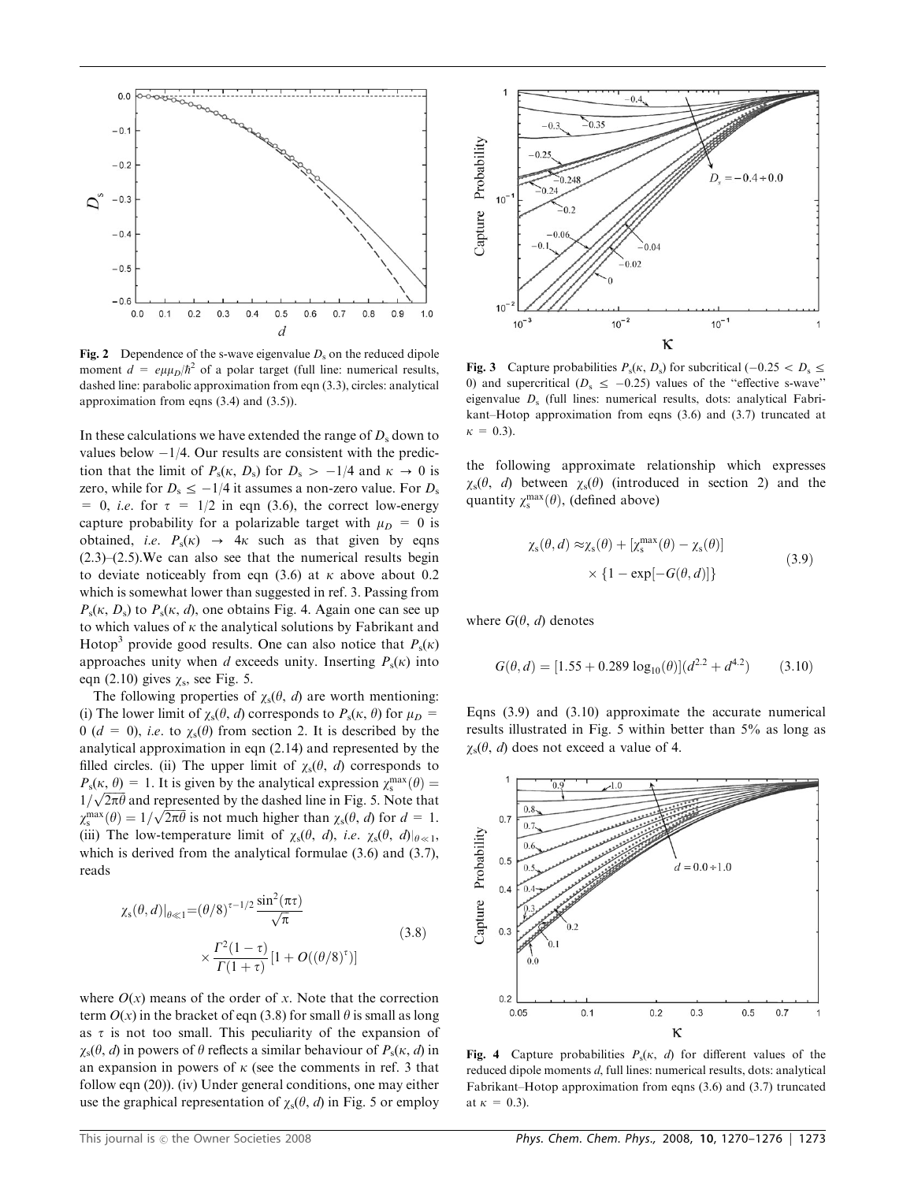

Fig. 2 Dependence of the s-wave eigenvalue  $D_s$  on the reduced dipole moment  $d = e\mu\mu_D/\hbar^2$  of a polar target (full line: numerical results, dashed line: parabolic approximation from eqn (3.3), circles: analytical approximation from eqns (3.4) and (3.5)).

In these calculations we have extended the range of  $D_s$  down to values below  $-1/4$ . Our results are consistent with the prediction that the limit of  $P_s(\kappa, D_s)$  for  $D_s > -1/4$  and  $\kappa \to 0$  is zero, while for  $D_s \le -1/4$  it assumes a non-zero value. For  $D_s$ = 0, *i.e.* for  $\tau$  = 1/2 in eqn (3.6), the correct low-energy capture probability for a polarizable target with  $\mu_D = 0$  is obtained, i.e.  $P_s(\kappa) \rightarrow 4\kappa$  such as that given by eqns  $(2.3)$ – $(2.5)$ . We can also see that the numerical results begin to deviate noticeably from eqn (3.6) at  $\kappa$  above about 0.2 which is somewhat lower than suggested in ref. 3. Passing from  $P_s(\kappa, D_s)$  to  $P_s(\kappa, d)$ , one obtains Fig. 4. Again one can see up to which values of  $\kappa$  the analytical solutions by Fabrikant and Hotop<sup>3</sup> provide good results. One can also notice that  $P_s(\kappa)$ approaches unity when d exceeds unity. Inserting  $P_s(\kappa)$  into eqn (2.10) gives  $\chi$ <sub>s</sub>, see Fig. 5.

The following properties of  $\chi_s(\theta, d)$  are worth mentioning: (i) The lower limit of  $\chi_s(\theta, d)$  corresponds to  $P_s(\kappa, \theta)$  for  $\mu_D$  = 0 ( $d = 0$ ), *i.e.* to  $\chi_s(\theta)$  from section 2. It is described by the analytical approximation in eqn (2.14) and represented by the filled circles. (ii) The upper limit of  $\chi_s(\theta, d)$  corresponds to  $P_s(\kappa, \theta) = 1$ . It is given by the analytical expression  $\chi_s^{\text{max}}(\theta) =$  $T_s(\kappa, \theta) = 1$ . It is given by the dialytical expression  $\chi_s$  (b) =  $1/\sqrt{2\pi\theta}$  and represented by the dashed line in Fig. 5. Note that  $\chi_{\rm s}^{\rm max}(\theta) = 1/\sqrt{2\pi\theta}$  is not much higher than  $\chi_{\rm s}(\theta, d)$  for  $d = 1$ . (iii) The low-temperature limit of  $\chi_s(\theta, d)$ , *i.e.*  $\chi_s(\theta, d)|_{\theta \ll 1}$ , which is derived from the analytical formulae  $(3.6)$  and  $(3.7)$ , reads

$$
\chi_{s}(\theta, d)|_{\theta \ll 1} = (\theta/8)^{\tau - 1/2} \frac{\sin^{2}(\pi \tau)}{\sqrt{\pi}}
$$
\n
$$
\times \frac{\Gamma^{2}(1-\tau)}{\Gamma(1+\tau)} [1 + O((\theta/8)^{\tau})]
$$
\n(3.8)

where  $O(x)$  means of the order of x. Note that the correction term  $O(x)$  in the bracket of eqn (3.8) for small  $\theta$  is small as long as  $\tau$  is not too small. This peculiarity of the expansion of  $\gamma_s(\theta, d)$  in powers of  $\theta$  reflects a similar behaviour of  $P_s(\kappa, d)$  in an expansion in powers of  $\kappa$  (see the comments in ref. 3 that follow eqn (20)). (iv) Under general conditions, one may either use the graphical representation of  $\chi_s(\theta, d)$  in Fig. 5 or employ



**Fig. 3** Capture probabilities  $P_s(\kappa, D_s)$  for subcritical (-0.25  $\lt D_s \le$ 0) and supercritical ( $D_s \le -0.25$ ) values of the "effective s-wave" eigenvalue  $D<sub>s</sub>$  (full lines: numerical results, dots: analytical Fabrikant–Hotop approximation from eqns (3.6) and (3.7) truncated at  $\kappa = 0.3$ ).

the following approximate relationship which expresses  $\chi_{s}(\theta, d)$  between  $\chi_{s}(\theta)$  (introduced in section 2) and the quantity  $\chi_s^{\text{max}}(\theta)$ , (defined above)

$$
\chi_{\rm s}(\theta, d) \approx \chi_{\rm s}(\theta) + [\chi_{\rm s}^{\rm max}(\theta) - \chi_{\rm s}(\theta)]
$$
  
 
$$
\times \{1 - \exp[-G(\theta, d)]\}
$$
 (3.9)

where  $G(\theta, d)$  denotes

$$
G(\theta, d) = [1.55 + 0.289 \log_{10}(\theta)](d^{2.2} + d^{4.2}) \tag{3.10}
$$

Eqns (3.9) and (3.10) approximate the accurate numerical results illustrated in Fig. 5 within better than 5% as long as  $\chi_{s}(\theta, d)$  does not exceed a value of 4.



Fig. 4 Capture probabilities  $P_s(\kappa, d)$  for different values of the reduced dipole moments d, full lines: numerical results, dots: analytical Fabrikant–Hotop approximation from eqns (3.6) and (3.7) truncated at  $\kappa = 0.3$ ).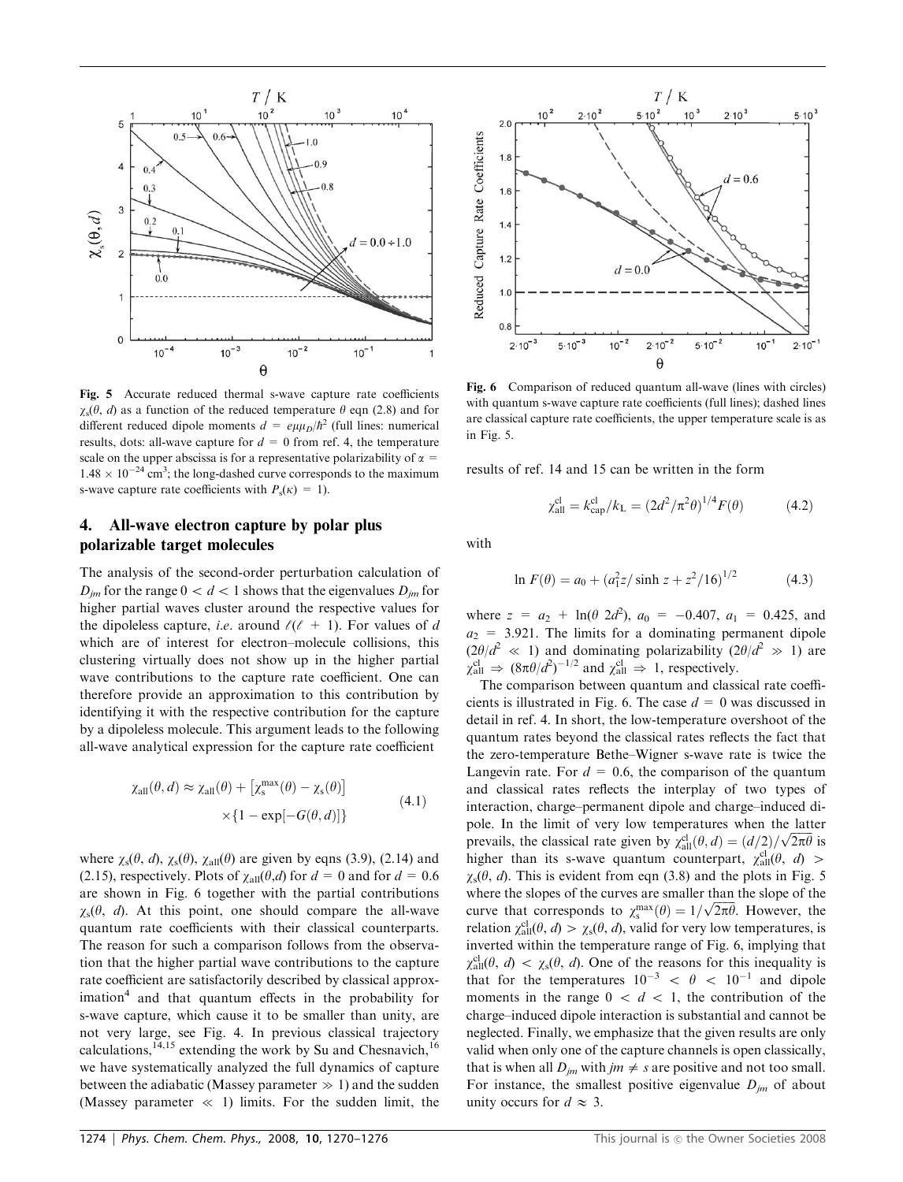

Fig. 5 Accurate reduced thermal s-wave capture rate coefficients  $\gamma_s(\theta, d)$  as a function of the reduced temperature  $\theta$  eqn (2.8) and for different reduced dipole moments  $d = e \mu \mu_D/\hbar^2$  (full lines: numerical results, dots: all-wave capture for  $d = 0$  from ref. 4, the temperature scale on the upper abscissa is for a representative polarizability of  $\alpha$  =  $1.48 \times 10^{-24}$  cm<sup>3</sup>; the long-dashed curve corresponds to the maximum s-wave capture rate coefficients with  $P_s(\kappa) = 1$ ).

### 4. All-wave electron capture by polar plus polarizable target molecules

The analysis of the second-order perturbation calculation of  $D_{im}$  for the range  $0 < d < 1$  shows that the eigenvalues  $D_{im}$  for higher partial waves cluster around the respective values for the dipoleless capture, *i.e.* around  $\ell(\ell + 1)$ . For values of d which are of interest for electron–molecule collisions, this clustering virtually does not show up in the higher partial wave contributions to the capture rate coefficient. One can therefore provide an approximation to this contribution by identifying it with the respective contribution for the capture by a dipoleless molecule. This argument leads to the following all-wave analytical expression for the capture rate coefficient

$$
\chi_{\text{all}}(\theta, d) \approx \chi_{\text{all}}(\theta) + \left[\chi_{\text{s}}^{\text{max}}(\theta) - \chi_{\text{s}}(\theta)\right] \times \left\{1 - \exp[-G(\theta, d)]\right\}
$$
\n(4.1)

where  $\chi_s(\theta, d)$ ,  $\chi_s(\theta)$ ,  $\chi_{\text{all}}(\theta)$  are given by eqns (3.9), (2.14) and (2.15), respectively. Plots of  $\chi_{all}(\theta, d)$  for  $d = 0$  and for  $d = 0.6$ are shown in Fig. 6 together with the partial contributions  $\chi_s(\theta, d)$ . At this point, one should compare the all-wave quantum rate coefficients with their classical counterparts. The reason for such a comparison follows from the observation that the higher partial wave contributions to the capture rate coefficient are satisfactorily described by classical approx $i$ mation<sup>4</sup> and that quantum effects in the probability for s-wave capture, which cause it to be smaller than unity, are not very large, see Fig. 4. In previous classical trajectory calculations,  $14,15$  extending the work by Su and Chesnavich,  $16$ we have systematically analyzed the full dynamics of capture between the adiabatic (Massey parameter  $\gg$  1) and the sudden (Massey parameter  $\ll$  1) limits. For the sudden limit, the



with quantum s-wave capture rate coefficients (full lines); dashed lines are classical capture rate coefficients, the upper temperature scale is as in Fig. 5.

results of ref. 14 and 15 can be written in the form

$$
\chi_{\text{all}}^{\text{cl}} = k_{\text{cap}}^{\text{cl}} / k_{\text{L}} = (2d^2 / \pi^2 \theta)^{1/4} F(\theta) \tag{4.2}
$$

with

$$
\ln F(\theta) = a_0 + (a_1^2 z / \sinh z + z^2 / 16)^{1/2} \tag{4.3}
$$

where  $z = a_2 + \ln(\theta \ 2d^2)$ ,  $a_0 = -0.407$ ,  $a_1 = 0.425$ , and  $a_2$  = 3.921. The limits for a dominating permanent dipole  $(2\theta/d^2 \ll 1)$  and dominating polarizability  $(2\theta/d^2 \gg 1)$  are  $\chi_{\text{all}}^{\text{cl}} \Rightarrow (8\pi\theta/d^2)^{-1/2}$  and  $\chi_{\text{all}}^{\text{cl}} \Rightarrow 1$ , respectively.

The comparison between quantum and classical rate coefficients is illustrated in Fig. 6. The case  $d = 0$  was discussed in detail in ref. 4. In short, the low-temperature overshoot of the quantum rates beyond the classical rates reflects the fact that the zero-temperature Bethe–Wigner s-wave rate is twice the Langevin rate. For  $d = 0.6$ , the comparison of the quantum and classical rates reflects the interplay of two types of interaction, charge–permanent dipole and charge–induced dipole. In the limit of very low temperatures when the latter poie. In the fifth of very low temperatures when the latter prevails, the classical rate given by  $\chi_{all}^{\text{cl}}(\theta, d) = (d/2)/\sqrt{2\pi\theta}$  is higher than its s-wave quantum counterpart,  $\chi_{all}^{cl}(\theta, d)$  >  $\chi_{s}(\theta, d)$ . This is evident from eqn (3.8) and the plots in Fig. 5 where the slopes of the curves are smaller than the slope of the where the slopes of the curves are smaller than the slope of the curve that corresponds to  $\chi_s^{\text{max}}(\theta) = 1/\sqrt{2\pi\theta}$ . However, the relation  $\chi_{\text{all}}^{\text{cl}}(\theta, d) > \chi_{\text{s}}(\theta, d)$ , valid for very low temperatures, is inverted within the temperature range of Fig. 6, implying that  $\chi_{\text{all}}^{\text{cl}}(\theta, d) < \chi_{\text{s}}(\theta, d)$ . One of the reasons for this inequality is that for the temperatures  $10^{-3} < \theta < 10^{-1}$  and dipole moments in the range  $0 < d < 1$ , the contribution of the charge–induced dipole interaction is substantial and cannot be neglected. Finally, we emphasize that the given results are only valid when only one of the capture channels is open classically, that is when all  $D_{im}$  with  $jm \neq s$  are positive and not too small. For instance, the smallest positive eigenvalue  $D_{im}$  of about unity occurs for  $d \approx 3$ .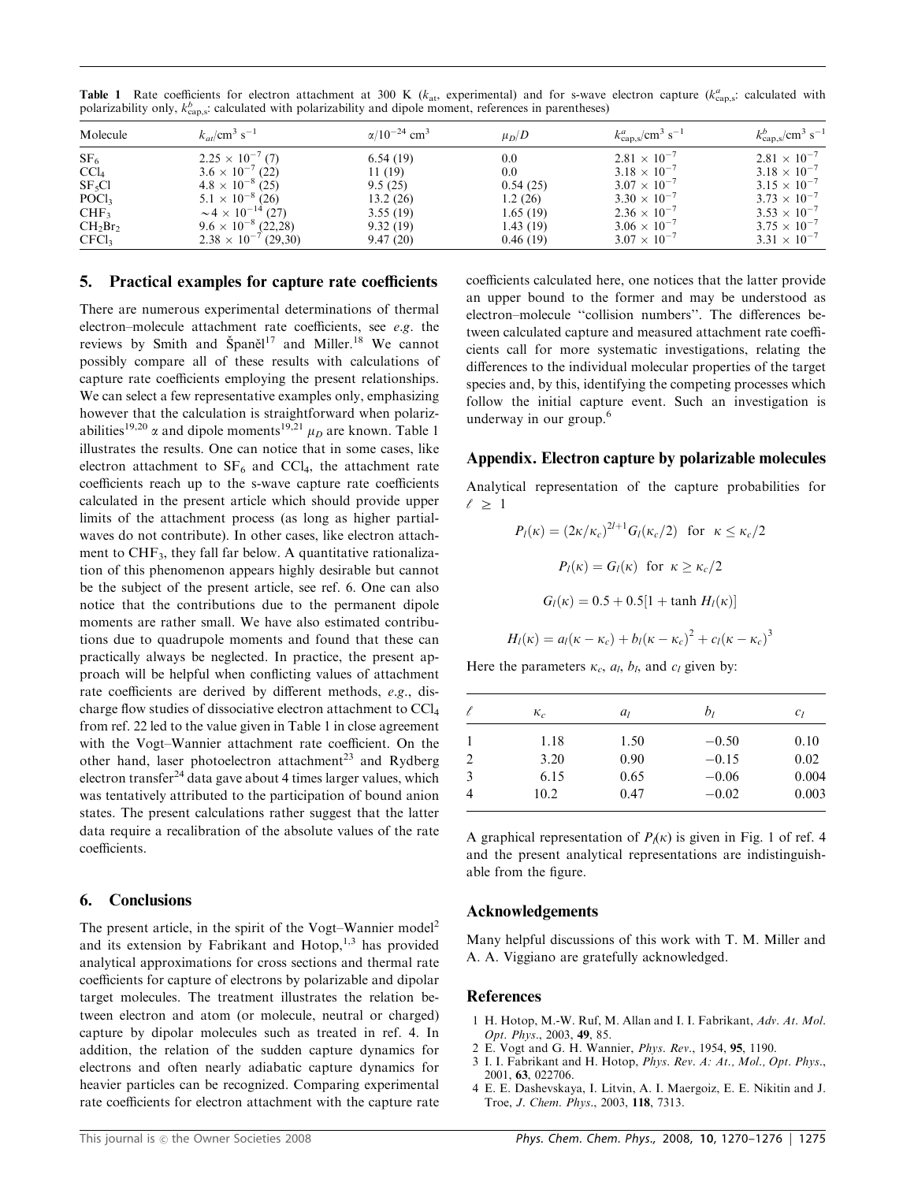| <b>Table 1</b> Rate coefficients for electron attachment at 300 K ( $k_{at}$ , experimental) and for s-wave electron capture ( $k_{\text{cap,s}}^a$ : calculated with |  |  |  |  |  |  |
|-----------------------------------------------------------------------------------------------------------------------------------------------------------------------|--|--|--|--|--|--|
| polarizability only, $k_{\text{cap},s}^b$ : calculated with polarizability and dipole moment, references in parentheses)                                              |  |  |  |  |  |  |

| Molecule          | $k_{at}/\text{cm}^3 \text{ s}^{-1}$      | $\alpha/10^{-24}$ cm <sup>3</sup> | $\mu_D/D$ | $k_{\rm cap,s}^a / \rm cm^3 \ s^{-1}$ | $k_{\rm cap,s}^b / \rm cm^3 \ s^{-1}$ |
|-------------------|------------------------------------------|-----------------------------------|-----------|---------------------------------------|---------------------------------------|
| SF <sub>6</sub>   | $2.25 \times 10^{-7}$ (7)                | 6.54(19)                          | 0.0       | $2.81 \times 10^{-7}$                 | $2.81 \times 10^{-7}$                 |
| CCl <sub>4</sub>  | $3.6 \times 10^{-7}$ (22)                | 11(19)                            | 0.0       | $3.18 \times 10^{-7}$                 | $3.18 \times 10^{-7}$                 |
| $SF_5Cl$          | $4.8 \times 10^{-8}$ (25)                | 9.5(25)                           | 0.54(25)  | $3.07 \times 10^{-7}$                 | $3.15 \times 10^{-7}$                 |
| POCl <sub>3</sub> | $5.1 \times 10^{-8}$ (26)                | 13.2(26)                          | 1.2(26)   | $3.30 \times 10^{-7}$                 | $3.73 \times 10^{-7}$                 |
| CHF <sub>3</sub>  | $\sim$ 4 $\times$ 10 <sup>-14</sup> (27) | 3.55(19)                          | 1.65 (19) | $2.36 \times 10^{-7}$                 | $3.53 \times 10^{-7}$                 |
| $CH_2Br_2$        | $9.6 \times 10^{-8}$ (22,28)             | 9.32(19)                          | 1.43 (19) | $3.06 \times 10^{-7}$                 | $3.75 \times 10^{-7}$                 |
| CFCl <sub>3</sub> | $2.38 \times 10^{-7}$ (29,30)            | 9.47(20)                          | 0.46(19)  | $3.07 \times 10^{-7}$                 | $3.31 \times 10^{-7}$                 |

#### 5. Practical examples for capture rate coefficients

There are numerous experimental determinations of thermal electron–molecule attachment rate coefficients, see e.g. the reviews by Smith and Španěl<sup>17</sup> and Miller.<sup>18</sup> We cannot possibly compare all of these results with calculations of capture rate coefficients employing the present relationships. We can select a few representative examples only, emphasizing however that the calculation is straightforward when polarizabilities<sup>19,20</sup>  $\alpha$  and dipole moments<sup>19,21</sup>  $\mu_D$  are known. Table 1 illustrates the results. One can notice that in some cases, like electron attachment to  $SF_6$  and  $CCl_4$ , the attachment rate coefficients reach up to the s-wave capture rate coefficients calculated in the present article which should provide upper limits of the attachment process (as long as higher partialwaves do not contribute). In other cases, like electron attachment to CHF<sub>3</sub>, they fall far below. A quantitative rationalization of this phenomenon appears highly desirable but cannot be the subject of the present article, see ref. 6. One can also notice that the contributions due to the permanent dipole moments are rather small. We have also estimated contributions due to quadrupole moments and found that these can practically always be neglected. In practice, the present approach will be helpful when conflicting values of attachment rate coefficients are derived by different methods, e.g., discharge flow studies of dissociative electron attachment to CCl4 from ref. 22 led to the value given in Table 1 in close agreement with the Vogt–Wannier attachment rate coefficient. On the other hand, laser photoelectron attachment<sup>23</sup> and Rydberg electron transfer<sup>24</sup> data gave about 4 times larger values, which was tentatively attributed to the participation of bound anion states. The present calculations rather suggest that the latter data require a recalibration of the absolute values of the rate coefficients.

#### 6. Conclusions

The present article, in the spirit of the Vogt–Wannier model<sup>2</sup> and its extension by Fabrikant and Hotop, $1,3$  has provided analytical approximations for cross sections and thermal rate coefficients for capture of electrons by polarizable and dipolar target molecules. The treatment illustrates the relation between electron and atom (or molecule, neutral or charged) capture by dipolar molecules such as treated in ref. 4. In addition, the relation of the sudden capture dynamics for electrons and often nearly adiabatic capture dynamics for heavier particles can be recognized. Comparing experimental rate coefficients for electron attachment with the capture rate coefficients calculated here, one notices that the latter provide an upper bound to the former and may be understood as electron–molecule ''collision numbers''. The differences between calculated capture and measured attachment rate coefficients call for more systematic investigations, relating the differences to the individual molecular properties of the target species and, by this, identifying the competing processes which follow the initial capture event. Such an investigation is underway in our group.<sup>6</sup>

#### Appendix. Electron capture by polarizable molecules

Analytical representation of the capture probabilities for  $\ell > 1$ 

$$
P_l(\kappa) = (2\kappa/\kappa_c)^{2l+1} G_l(\kappa_c/2) \text{ for } \kappa \le \kappa_c/2
$$
  

$$
P_l(\kappa) = G_l(\kappa) \text{ for } \kappa \ge \kappa_c/2
$$
  

$$
G_l(\kappa) = 0.5 + 0.5[1 + \tanh H_l(\kappa)]
$$
  

$$
H_l(\kappa) = a_l(\kappa - \kappa_c) + b_l(\kappa - \kappa_c)^2 + c_l(\kappa - \kappa_c)^3
$$

Here the parameters  $\kappa_c$ ,  $a_l$ ,  $b_l$ , and  $c_l$  given by:

|   | $\kappa_c$ | a <sub>I</sub> | b <sub>I</sub> | $c_l$ |
|---|------------|----------------|----------------|-------|
|   | 1.18       | 1.50           | $-0.50$        | 0.10  |
| 2 | 3.20       | 0.90           | $-0.15$        | 0.02  |
| 3 | 6.15       | 0.65           | $-0.06$        | 0.004 |
|   | 10.2       | 0.47           | $-0.02$        | 0.003 |
|   |            |                |                |       |

A graphical representation of  $P_k(\kappa)$  is given in Fig. 1 of ref. 4 and the present analytical representations are indistinguishable from the figure.

#### Acknowledgements

Many helpful discussions of this work with T. M. Miller and A. A. Viggiano are gratefully acknowledged.

#### References

- 1 H. Hotop, M.-W. Ruf, M. Allan and I. I. Fabrikant, Adv. At. Mol. Opt. Phys., 2003, 49, 85.
- 2 E. Vogt and G. H. Wannier, Phys. Rev., 1954, 95, 1190.
- 3 I. I. Fabrikant and H. Hotop, Phys. Rev. A: At., Mol., Opt. Phys., 2001, 63, 022706.
- 4 E. E. Dashevskaya, I. Litvin, A. I. Maergoiz, E. E. Nikitin and J. Troe, J. Chem. Phys., 2003, 118, 7313.